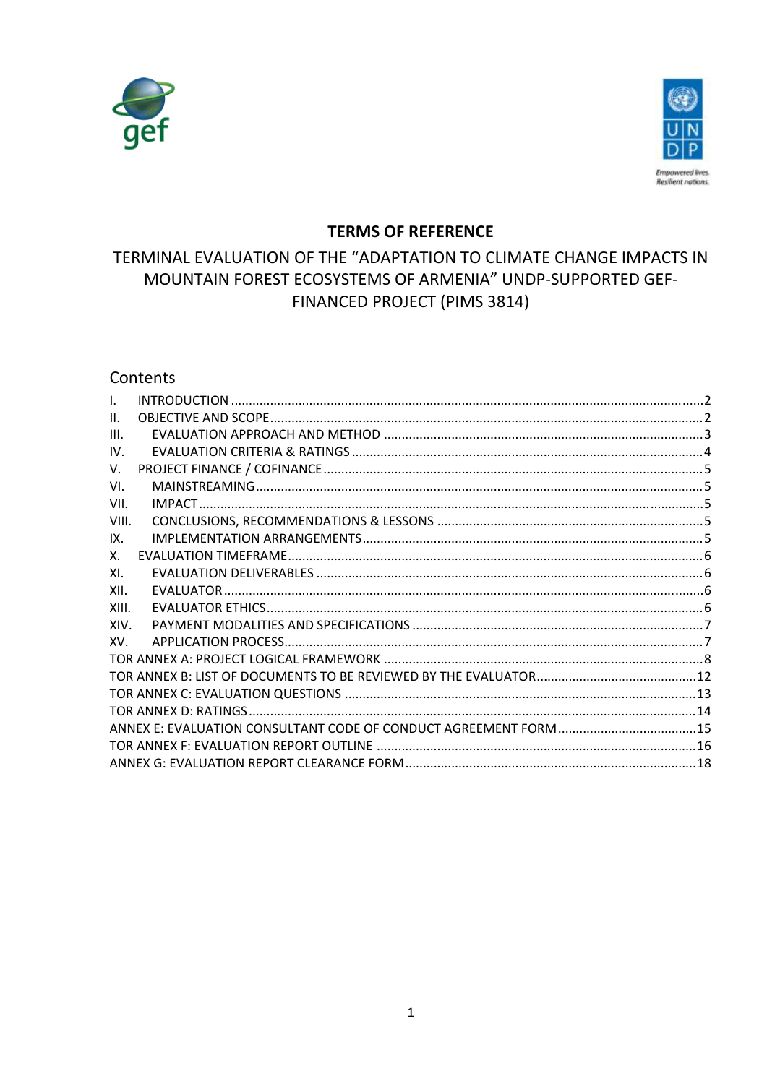



## **TERMS OF REFERENCE**

# TERMINAL EVALUATION OF THE "ADAPTATION TO CLIMATE CHANGE IMPACTS IN MOUNTAIN FOREST ECOSYSTEMS OF ARMENIA" UNDP-SUPPORTED GEF-**FINANCED PROJECT (PIMS 3814)**

## Contents

| I.    |  |
|-------|--|
| Ш.    |  |
| III.  |  |
| IV.   |  |
| V.    |  |
| VI.   |  |
| VII.  |  |
| VIII. |  |
| IX.   |  |
| Х.    |  |
| XI.   |  |
| XII.  |  |
| XIII. |  |
| XIV.  |  |
| XV.   |  |
|       |  |
|       |  |
|       |  |
|       |  |
|       |  |
|       |  |
|       |  |
|       |  |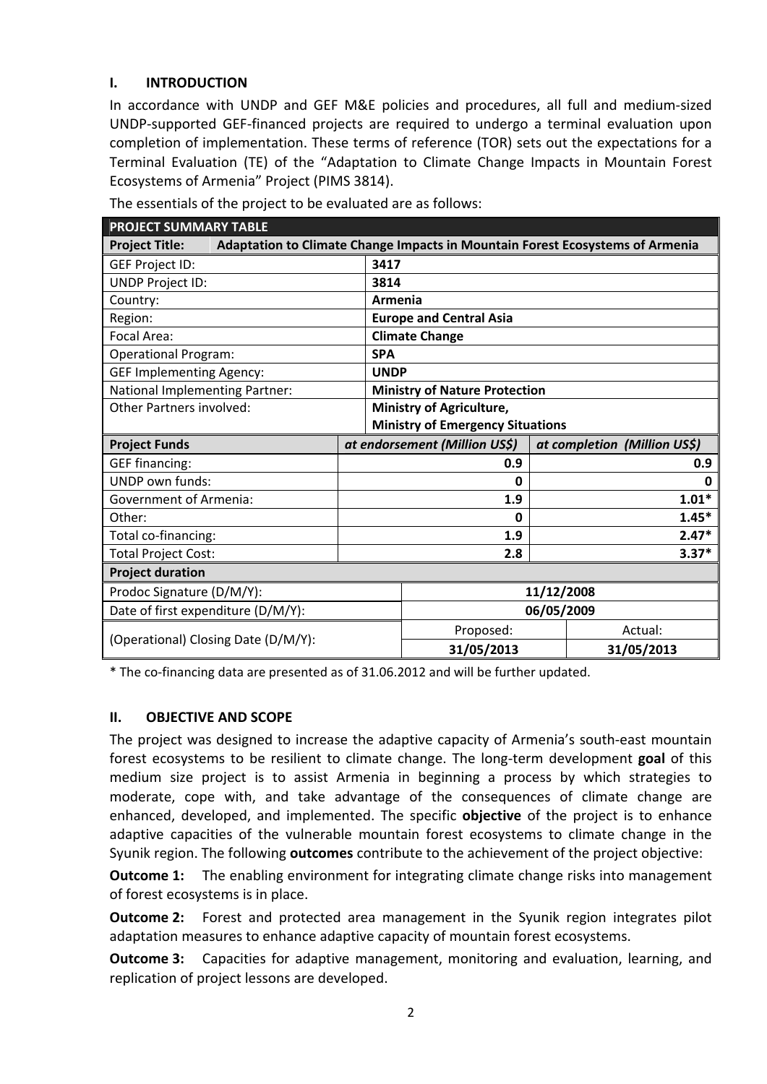#### **I. INTRODUCTION**

In accordance with UNDP and GEF M&E policies and procedures, all full and medium‐sized UNDP‐supported GEF‐financed projects are required to undergo a terminal evaluation upon completion of implementation. These terms of reference (TOR) sets out the expectations for a Terminal Evaluation (TE) of the "Adaptation to Climate Change Impacts in Mountain Forest Ecosystems of Armenia" Project (PIMS 3814).

| <b>PROJECT SUMMARY TABLE</b>                                                                           |                                         |                              |  |  |  |
|--------------------------------------------------------------------------------------------------------|-----------------------------------------|------------------------------|--|--|--|
| <b>Project Title:</b><br>Adaptation to Climate Change Impacts in Mountain Forest Ecosystems of Armenia |                                         |                              |  |  |  |
| <b>GEF Project ID:</b>                                                                                 | 3417                                    |                              |  |  |  |
| <b>UNDP Project ID:</b>                                                                                | 3814                                    |                              |  |  |  |
| Country:                                                                                               | Armenia                                 |                              |  |  |  |
| Region:                                                                                                | <b>Europe and Central Asia</b>          |                              |  |  |  |
| Focal Area:                                                                                            | <b>Climate Change</b>                   |                              |  |  |  |
| <b>Operational Program:</b>                                                                            | <b>SPA</b>                              |                              |  |  |  |
| <b>GEF Implementing Agency:</b>                                                                        | <b>UNDP</b>                             |                              |  |  |  |
| National Implementing Partner:                                                                         | <b>Ministry of Nature Protection</b>    |                              |  |  |  |
| Other Partners involved:                                                                               | Ministry of Agriculture,                |                              |  |  |  |
|                                                                                                        | <b>Ministry of Emergency Situations</b> |                              |  |  |  |
| <b>Project Funds</b>                                                                                   | at endorsement (Million US\$)           | at completion (Million US\$) |  |  |  |
| <b>GEF financing:</b>                                                                                  | 0.9                                     | 0.9                          |  |  |  |
| <b>UNDP own funds:</b>                                                                                 | 0                                       | 0                            |  |  |  |
| <b>Government of Armenia:</b>                                                                          | 1.9                                     | $1.01*$                      |  |  |  |
| Other:                                                                                                 | 0                                       | $1.45*$                      |  |  |  |
| Total co-financing:                                                                                    | 1.9                                     | $2.47*$                      |  |  |  |
| <b>Total Project Cost:</b>                                                                             | 2.8                                     | $3.37*$                      |  |  |  |
| <b>Project duration</b>                                                                                |                                         |                              |  |  |  |
| Prodoc Signature (D/M/Y):                                                                              |                                         | 11/12/2008                   |  |  |  |
| Date of first expenditure (D/M/Y):                                                                     |                                         | 06/05/2009                   |  |  |  |
| (Operational) Closing Date (D/M/Y):                                                                    | Proposed:                               | Actual:                      |  |  |  |
|                                                                                                        | 31/05/2013                              | 31/05/2013                   |  |  |  |

The essentials of the project to be evaluated are as follows:

\* The co‐financing data are presented as of 31.06.2012 and will be further updated.

#### **II. OBJECTIVE AND SCOPE**

The project was designed to increase the adaptive capacity of Armenia's south‐east mountain forest ecosystems to be resilient to climate change. The long‐term development **goal** of this medium size project is to assist Armenia in beginning a process by which strategies to moderate, cope with, and take advantage of the consequences of climate change are enhanced, developed, and implemented. The specific **objective** of the project is to enhance adaptive capacities of the vulnerable mountain forest ecosystems to climate change in the Syunik region. The following **outcomes** contribute to the achievement of the project objective:

**Outcome 1:** The enabling environment for integrating climate change risks into management of forest ecosystems is in place.

**Outcome 2:** Forest and protected area management in the Syunik region integrates pilot adaptation measures to enhance adaptive capacity of mountain forest ecosystems.

**Outcome 3:** Capacities for adaptive management, monitoring and evaluation, learning, and replication of project lessons are developed.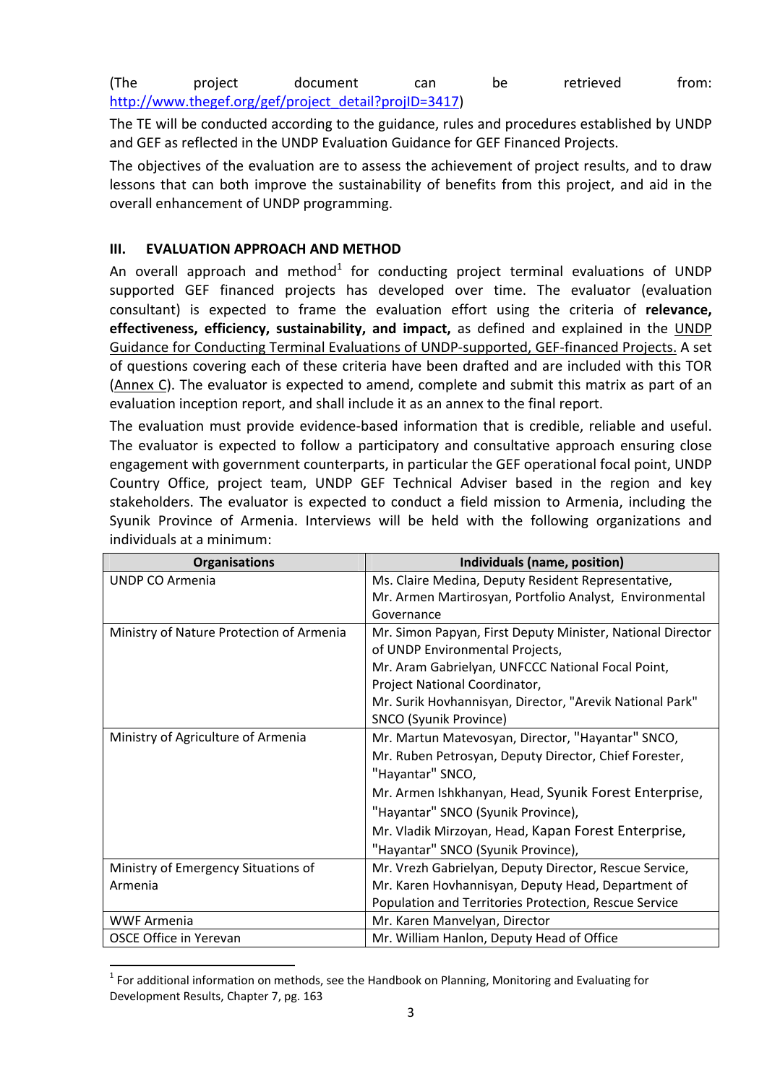(The project document can be retrieved from: http://www.thegef.org/gef/project\_detail?projID=3417)

The TE will be conducted according to the guidance, rules and procedures established by UNDP and GEF as reflected in the UNDP Evaluation Guidance for GEF Financed Projects.

The objectives of the evaluation are to assess the achievement of project results, and to draw lessons that can both improve the sustainability of benefits from this project, and aid in the overall enhancement of UNDP programming.

#### **III. EVALUATION APPROACH AND METHOD**

An overall approach and method<sup>1</sup> for conducting project terminal evaluations of UNDP supported GEF financed projects has developed over time. The evaluator (evaluation consultant) is expected to frame the evaluation effort using the criteria of **relevance, effectiveness, efficiency, sustainability, and impact,** as defined and explained in the UNDP Guidance for Conducting Terminal Evaluations of UNDP‐supported, GEF‐financed Projects. A set of questions covering each of these criteria have been drafted and are included with this TOR (Annex C). The evaluator is expected to amend, complete and submit this matrix as part of an evaluation inception report, and shall include it as an annex to the final report.

The evaluation must provide evidence-based information that is credible, reliable and useful. The evaluator is expected to follow a participatory and consultative approach ensuring close engagement with government counterparts, in particular the GEF operational focal point, UNDP Country Office, project team, UNDP GEF Technical Adviser based in the region and key stakeholders. The evaluator is expected to conduct a field mission to Armenia, including the Syunik Province of Armenia. Interviews will be held with the following organizations and individuals at a minimum:

| <b>Organisations</b>                     | Individuals (name, position)                               |
|------------------------------------------|------------------------------------------------------------|
| <b>UNDP CO Armenia</b>                   | Ms. Claire Medina, Deputy Resident Representative,         |
|                                          | Mr. Armen Martirosyan, Portfolio Analyst, Environmental    |
|                                          | Governance                                                 |
| Ministry of Nature Protection of Armenia | Mr. Simon Papyan, First Deputy Minister, National Director |
|                                          | of UNDP Environmental Projects,                            |
|                                          | Mr. Aram Gabrielyan, UNFCCC National Focal Point,          |
|                                          | Project National Coordinator,                              |
|                                          | Mr. Surik Hovhannisyan, Director, "Arevik National Park"   |
|                                          | SNCO (Syunik Province)                                     |
| Ministry of Agriculture of Armenia       | Mr. Martun Matevosyan, Director, "Hayantar" SNCO,          |
|                                          | Mr. Ruben Petrosyan, Deputy Director, Chief Forester,      |
|                                          | "Hayantar" SNCO,                                           |
|                                          | Mr. Armen Ishkhanyan, Head, Syunik Forest Enterprise,      |
|                                          | "Hayantar" SNCO (Syunik Province),                         |
|                                          | Mr. Vladik Mirzoyan, Head, Kapan Forest Enterprise,        |
|                                          | "Hayantar" SNCO (Syunik Province),                         |
| Ministry of Emergency Situations of      | Mr. Vrezh Gabrielyan, Deputy Director, Rescue Service,     |
| Armenia                                  | Mr. Karen Hovhannisyan, Deputy Head, Department of         |
|                                          | Population and Territories Protection, Rescue Service      |
| <b>WWF Armenia</b>                       | Mr. Karen Manvelyan, Director                              |
| OSCE Office in Yerevan                   | Mr. William Hanlon, Deputy Head of Office                  |

 $1$  For additional information on methods, see the Handbook on Planning, Monitoring and Evaluating for Development Results, Chapter 7, pg. 163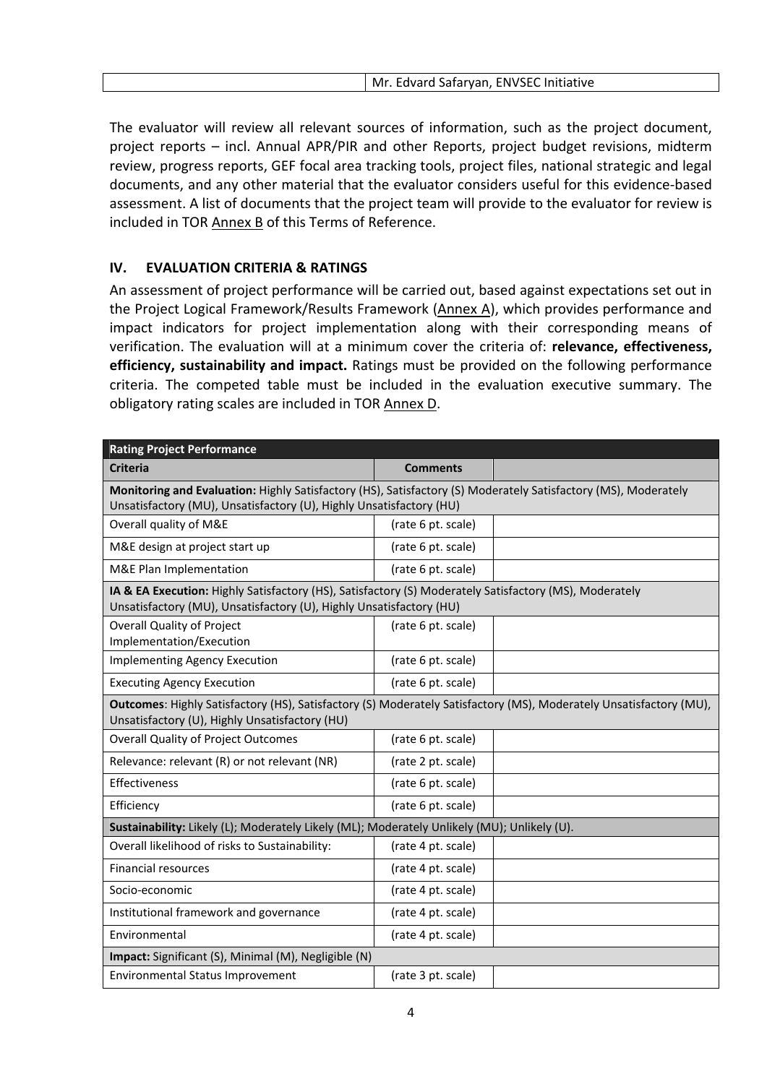The evaluator will review all relevant sources of information, such as the project document, project reports – incl. Annual APR/PIR and other Reports, project budget revisions, midterm review, progress reports, GEF focal area tracking tools, project files, national strategic and legal documents, and any other material that the evaluator considers useful for this evidence‐based assessment. A list of documents that the project team will provide to the evaluator for review is included in TOR Annex B of this Terms of Reference.

#### **IV. EVALUATION CRITERIA & RATINGS**

An assessment of project performance will be carried out, based against expectations set out in the Project Logical Framework/Results Framework (Annex A), which provides performance and impact indicators for project implementation along with their corresponding means of verification. The evaluation will at a minimum cover the criteria of: **relevance, effectiveness, efficiency, sustainability and impact.** Ratings must be provided on the following performance criteria. The competed table must be included in the evaluation executive summary. The obligatory rating scales are included in TOR Annex D.

| <b>Rating Project Performance</b>                                                                                                                                             |                    |  |  |  |  |
|-------------------------------------------------------------------------------------------------------------------------------------------------------------------------------|--------------------|--|--|--|--|
| <b>Criteria</b>                                                                                                                                                               | <b>Comments</b>    |  |  |  |  |
| Monitoring and Evaluation: Highly Satisfactory (HS), Satisfactory (S) Moderately Satisfactory (MS), Moderately                                                                |                    |  |  |  |  |
| Unsatisfactory (MU), Unsatisfactory (U), Highly Unsatisfactory (HU)                                                                                                           |                    |  |  |  |  |
| Overall quality of M&E                                                                                                                                                        | (rate 6 pt. scale) |  |  |  |  |
| M&E design at project start up                                                                                                                                                | (rate 6 pt. scale) |  |  |  |  |
| M&E Plan Implementation                                                                                                                                                       | (rate 6 pt. scale) |  |  |  |  |
| IA & EA Execution: Highly Satisfactory (HS), Satisfactory (S) Moderately Satisfactory (MS), Moderately<br>Unsatisfactory (MU), Unsatisfactory (U), Highly Unsatisfactory (HU) |                    |  |  |  |  |
| <b>Overall Quality of Project</b><br>Implementation/Execution                                                                                                                 | (rate 6 pt. scale) |  |  |  |  |
| <b>Implementing Agency Execution</b>                                                                                                                                          | (rate 6 pt. scale) |  |  |  |  |
| <b>Executing Agency Execution</b><br>(rate 6 pt. scale)                                                                                                                       |                    |  |  |  |  |
| Outcomes: Highly Satisfactory (HS), Satisfactory (S) Moderately Satisfactory (MS), Moderately Unsatisfactory (MU),<br>Unsatisfactory (U), Highly Unsatisfactory (HU)          |                    |  |  |  |  |
| <b>Overall Quality of Project Outcomes</b>                                                                                                                                    | (rate 6 pt. scale) |  |  |  |  |
| Relevance: relevant (R) or not relevant (NR)                                                                                                                                  | (rate 2 pt. scale) |  |  |  |  |
| Effectiveness                                                                                                                                                                 | (rate 6 pt. scale) |  |  |  |  |
| Efficiency                                                                                                                                                                    | (rate 6 pt. scale) |  |  |  |  |
| Sustainability: Likely (L); Moderately Likely (ML); Moderately Unlikely (MU); Unlikely (U).                                                                                   |                    |  |  |  |  |
| Overall likelihood of risks to Sustainability:                                                                                                                                | (rate 4 pt. scale) |  |  |  |  |
| <b>Financial resources</b>                                                                                                                                                    | (rate 4 pt. scale) |  |  |  |  |
| Socio-economic                                                                                                                                                                | (rate 4 pt. scale) |  |  |  |  |
| Institutional framework and governance                                                                                                                                        | (rate 4 pt. scale) |  |  |  |  |
| Environmental                                                                                                                                                                 | (rate 4 pt. scale) |  |  |  |  |
| Impact: Significant (S), Minimal (M), Negligible (N)                                                                                                                          |                    |  |  |  |  |
| <b>Environmental Status Improvement</b>                                                                                                                                       | (rate 3 pt. scale) |  |  |  |  |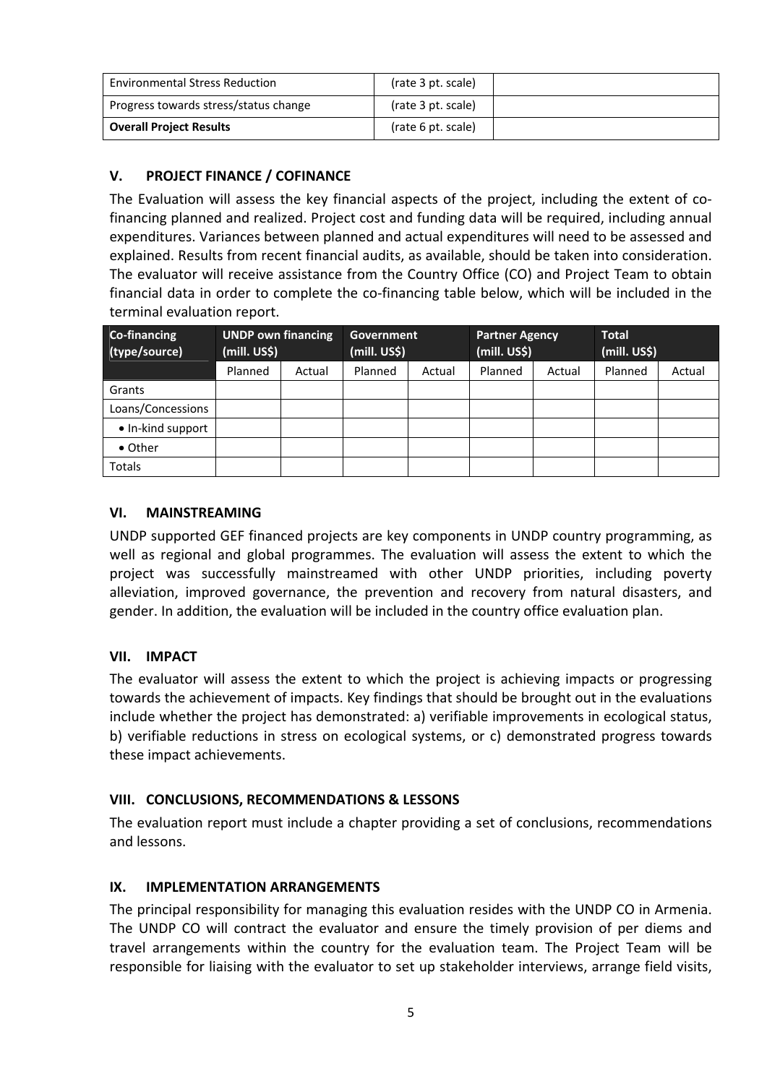| <b>Environmental Stress Reduction</b> | (rate 3 pt. scale) |  |
|---------------------------------------|--------------------|--|
| Progress towards stress/status change | (rate 3 pt. scale) |  |
| <b>Overall Project Results</b>        | (rate 6 pt. scale) |  |

## **V. PROJECT FINANCE / COFINANCE**

The Evaluation will assess the key financial aspects of the project, including the extent of cofinancing planned and realized. Project cost and funding data will be required, including annual expenditures. Variances between planned and actual expenditures will need to be assessed and explained. Results from recent financial audits, as available, should be taken into consideration. The evaluator will receive assistance from the Country Office (CO) and Project Team to obtain financial data in order to complete the co-financing table below, which will be included in the terminal evaluation report.

| Co-financing<br>(type/source) | <b>UNDP own financing</b><br>(mill. US\$) |        | Government<br>(mill. US\$) |        | <b>Partner Agency</b><br>(mill. US\$) |        | <b>Total</b><br>(mill. US\$) |        |
|-------------------------------|-------------------------------------------|--------|----------------------------|--------|---------------------------------------|--------|------------------------------|--------|
|                               | Planned                                   | Actual | Planned                    | Actual | Planned                               | Actual | Planned                      | Actual |
| Grants                        |                                           |        |                            |        |                                       |        |                              |        |
| Loans/Concessions             |                                           |        |                            |        |                                       |        |                              |        |
| • In-kind support             |                                           |        |                            |        |                                       |        |                              |        |
| • Other                       |                                           |        |                            |        |                                       |        |                              |        |
| <b>Totals</b>                 |                                           |        |                            |        |                                       |        |                              |        |

## **VI. MAINSTREAMING**

UNDP supported GEF financed projects are key components in UNDP country programming, as well as regional and global programmes. The evaluation will assess the extent to which the project was successfully mainstreamed with other UNDP priorities, including poverty alleviation, improved governance, the prevention and recovery from natural disasters, and gender. In addition, the evaluation will be included in the country office evaluation plan.

#### **VII. IMPACT**

The evaluator will assess the extent to which the project is achieving impacts or progressing towards the achievement of impacts. Key findings that should be brought out in the evaluations include whether the project has demonstrated: a) verifiable improvements in ecological status, b) verifiable reductions in stress on ecological systems, or c) demonstrated progress towards these impact achievements.

#### **VIII. CONCLUSIONS, RECOMMENDATIONS & LESSONS**

The evaluation report must include a chapter providing a set of conclusions, recommendations and lessons.

#### **IX. IMPLEMENTATION ARRANGEMENTS**

The principal responsibility for managing this evaluation resides with the UNDP CO in Armenia. The UNDP CO will contract the evaluator and ensure the timely provision of per diems and travel arrangements within the country for the evaluation team. The Project Team will be responsible for liaising with the evaluator to set up stakeholder interviews, arrange field visits,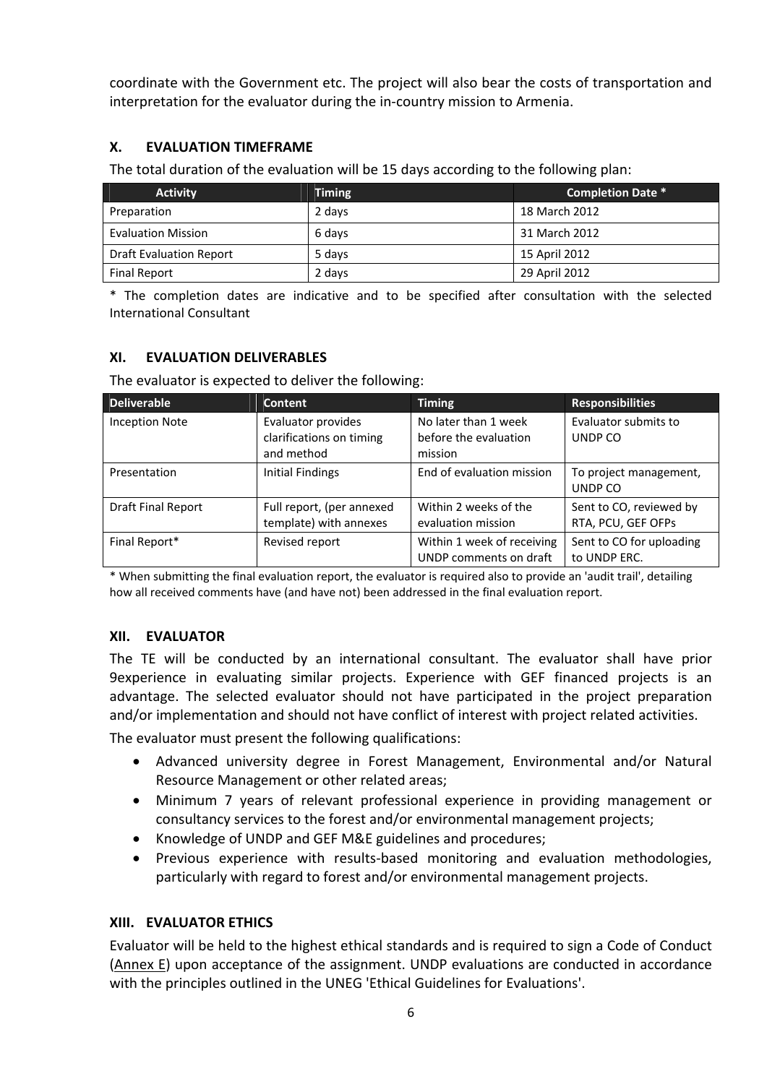coordinate with the Government etc. The project will also bear the costs of transportation and interpretation for the evaluator during the in‐country mission to Armenia.

### **X. EVALUATION TIMEFRAME**

The total duration of the evaluation will be 15 days according to the following plan:

| <b>Activity</b>                | <b>Timing</b> | <b>Completion Date *</b> |
|--------------------------------|---------------|--------------------------|
| Preparation                    | 2 days        | 18 March 2012            |
| <b>Evaluation Mission</b>      | 6 days        | 31 March 2012            |
| <b>Draft Evaluation Report</b> | 5 days        | 15 April 2012            |
| Final Report                   | 2 days        | 29 April 2012            |

\* The completion dates are indicative and to be specified after consultation with the selected International Consultant

#### **XI. EVALUATION DELIVERABLES**

The evaluator is expected to deliver the following:

| <b>Deliverable</b>        | <b>Content</b>                                               | <b>Timing</b>                                            | <b>Responsibilities</b>                       |  |
|---------------------------|--------------------------------------------------------------|----------------------------------------------------------|-----------------------------------------------|--|
| <b>Inception Note</b>     | Evaluator provides<br>clarifications on timing<br>and method | No later than 1 week<br>before the evaluation<br>mission | Evaluator submits to<br>UNDP CO               |  |
| Presentation              | <b>Initial Findings</b>                                      | End of evaluation mission                                | To project management,<br>UNDP CO             |  |
| <b>Draft Final Report</b> | Full report, (per annexed<br>template) with annexes          | Within 2 weeks of the<br>evaluation mission              | Sent to CO, reviewed by<br>RTA, PCU, GEF OFPs |  |
| Final Report*             | Revised report                                               | Within 1 week of receiving<br>UNDP comments on draft     | Sent to CO for uploading<br>to UNDP ERC.      |  |

\* When submitting the final evaluation report, the evaluator is required also to provide an 'audit trail', detailing how all received comments have (and have not) been addressed in the final evaluation report.

#### **XII. EVALUATOR**

The TE will be conducted by an international consultant. The evaluator shall have prior 9experience in evaluating similar projects. Experience with GEF financed projects is an advantage. The selected evaluator should not have participated in the project preparation and/or implementation and should not have conflict of interest with project related activities.

The evaluator must present the following qualifications:

- Advanced university degree in Forest Management, Environmental and/or Natural Resource Management or other related areas;
- Minimum 7 years of relevant professional experience in providing management or consultancy services to the forest and/or environmental management projects;
- Knowledge of UNDP and GEF M&E guidelines and procedures;
- Previous experience with results‐based monitoring and evaluation methodologies, particularly with regard to forest and/or environmental management projects.

#### **XIII. EVALUATOR ETHICS**

Evaluator will be held to the highest ethical standards and is required to sign a Code of Conduct (Annex E) upon acceptance of the assignment. UNDP evaluations are conducted in accordance with the principles outlined in the UNEG 'Ethical Guidelines for Evaluations'.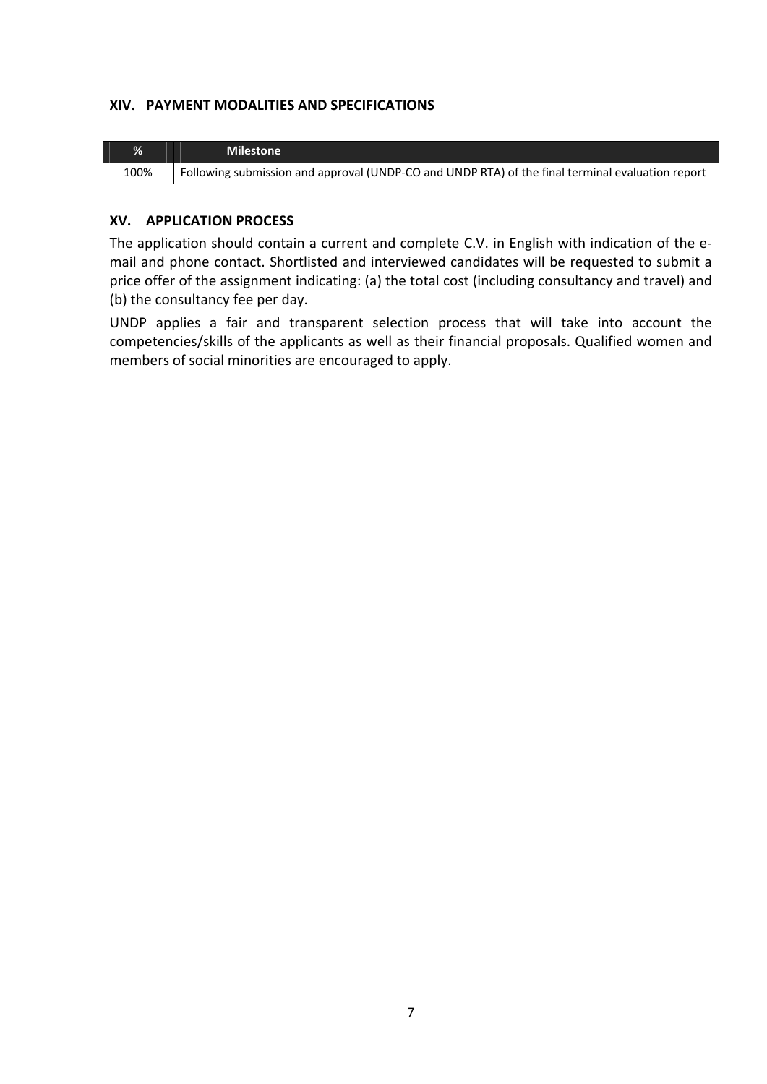#### **XIV. PAYMENT MODALITIES AND SPECIFICATIONS**

| %    | <b>Milestone</b>                                                                                 |
|------|--------------------------------------------------------------------------------------------------|
| 100% | Following submission and approval (UNDP-CO and UNDP RTA) of the final terminal evaluation report |

#### **XV. APPLICATION PROCESS**

The application should contain a current and complete C.V. in English with indication of the e‐ mail and phone contact. Shortlisted and interviewed candidates will be requested to submit a price offer of the assignment indicating: (a) the total cost (including consultancy and travel) and (b) the consultancy fee per day.

UNDP applies a fair and transparent selection process that will take into account the competencies/skills of the applicants as well as their financial proposals. Qualified women and members of social minorities are encouraged to apply.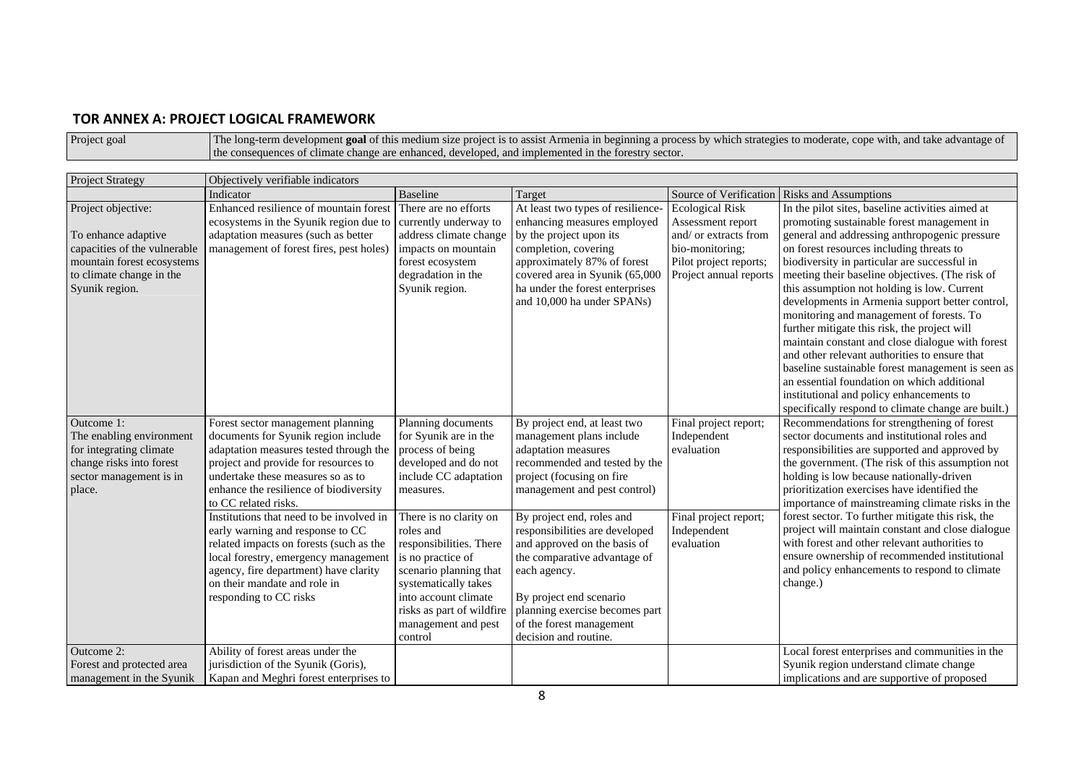#### **TOR ANNEX A: PROJECT LOGICAL FRAMEWORK**

| Project goal | The long-term development goal of this medium size project is to assist Armenia in beginning a process by which strategies to moderate, cope with, and take advantage of |
|--------------|--------------------------------------------------------------------------------------------------------------------------------------------------------------------------|
|              | the consequences of climate change are enhanced, developed, and implemented in the forestry sector.                                                                      |

| <b>Project Strategy</b>                                                                                                            | Objectively verifiable indicators                                                                                                                                                                                                                                  |                                                                                                                                                                                                                              |                                                                                                                                                                                                                                                               |                                                                      |                                                                                                                                                                                                                                                                                                                                                                                                                                                                                                                                                                                                                                                      |
|------------------------------------------------------------------------------------------------------------------------------------|--------------------------------------------------------------------------------------------------------------------------------------------------------------------------------------------------------------------------------------------------------------------|------------------------------------------------------------------------------------------------------------------------------------------------------------------------------------------------------------------------------|---------------------------------------------------------------------------------------------------------------------------------------------------------------------------------------------------------------------------------------------------------------|----------------------------------------------------------------------|------------------------------------------------------------------------------------------------------------------------------------------------------------------------------------------------------------------------------------------------------------------------------------------------------------------------------------------------------------------------------------------------------------------------------------------------------------------------------------------------------------------------------------------------------------------------------------------------------------------------------------------------------|
|                                                                                                                                    | Indicator                                                                                                                                                                                                                                                          | <b>Baseline</b>                                                                                                                                                                                                              | Target                                                                                                                                                                                                                                                        | Source of Verification                                               | <b>Risks and Assumptions</b>                                                                                                                                                                                                                                                                                                                                                                                                                                                                                                                                                                                                                         |
| Project objective:<br>To enhance adaptive                                                                                          | Enhanced resilience of mountain forest<br>ecosystems in the Syunik region due to<br>adaptation measures (such as better                                                                                                                                            | There are no efforts<br>currently underway to<br>address climate change                                                                                                                                                      | At least two types of resilience-<br>enhancing measures employed<br>by the project upon its                                                                                                                                                                   | <b>Ecological Risk</b><br>Assessment report<br>and/ or extracts from | In the pilot sites, baseline activities aimed at<br>promoting sustainable forest management in<br>general and addressing anthropogenic pressure                                                                                                                                                                                                                                                                                                                                                                                                                                                                                                      |
| capacities of the vulnerable<br>mountain forest ecosystems<br>to climate change in the<br>Syunik region.                           | management of forest fires, pest holes)                                                                                                                                                                                                                            | impacts on mountain<br>forest ecosystem<br>degradation in the<br>Syunik region.                                                                                                                                              | completion, covering<br>approximately 87% of forest<br>covered area in Syunik (65,000<br>ha under the forest enterprises<br>and 10,000 ha under SPANs)                                                                                                        | bio-monitoring;<br>Pilot project reports;<br>Project annual reports  | on forest resources including threats to<br>biodiversity in particular are successful in<br>meeting their baseline objectives. (The risk of<br>this assumption not holding is low. Current<br>developments in Armenia support better control,<br>monitoring and management of forests. To<br>further mitigate this risk, the project will<br>maintain constant and close dialogue with forest<br>and other relevant authorities to ensure that<br>baseline sustainable forest management is seen as<br>an essential foundation on which additional<br>institutional and policy enhancements to<br>specifically respond to climate change are built.) |
| Outcome 1:<br>The enabling environment<br>for integrating climate<br>change risks into forest<br>sector management is in<br>place. | Forest sector management planning<br>documents for Syunik region include<br>adaptation measures tested through the<br>project and provide for resources to<br>undertake these measures so as to<br>enhance the resilience of biodiversity<br>to CC related risks.  | Planning documents<br>for Syunik are in the<br>process of being<br>developed and do not<br>include CC adaptation<br>measures.                                                                                                | By project end, at least two<br>management plans include<br>adaptation measures<br>recommended and tested by the<br>project (focusing on fire<br>management and pest control)                                                                                 | Final project report;<br>Independent<br>evaluation                   | Recommendations for strengthening of forest<br>sector documents and institutional roles and<br>responsibilities are supported and approved by<br>the government. (The risk of this assumption not<br>holding is low because nationally-driven<br>prioritization exercises have identified the<br>importance of mainstreaming climate risks in the                                                                                                                                                                                                                                                                                                    |
|                                                                                                                                    | Institutions that need to be involved in<br>early warning and response to CC<br>related impacts on forests (such as the<br>local forestry, emergency management<br>agency, fire department) have clarity<br>on their mandate and role in<br>responding to CC risks | There is no clarity on<br>roles and<br>responsibilities. There<br>is no practice of<br>scenario planning that<br>systematically takes<br>into account climate<br>risks as part of wildfire<br>management and pest<br>control | By project end, roles and<br>responsibilities are developed<br>and approved on the basis of<br>the comparative advantage of<br>each agency.<br>By project end scenario<br>planning exercise becomes part<br>of the forest management<br>decision and routine. | Final project report;<br>Independent<br>evaluation                   | forest sector. To further mitigate this risk, the<br>project will maintain constant and close dialogue<br>with forest and other relevant authorities to<br>ensure ownership of recommended institutional<br>and policy enhancements to respond to climate<br>change.)                                                                                                                                                                                                                                                                                                                                                                                |
| Outcome 2:<br>Forest and protected area<br>management in the Syunik                                                                | Ability of forest areas under the<br>jurisdiction of the Syunik (Goris),<br>Kapan and Meghri forest enterprises to                                                                                                                                                 |                                                                                                                                                                                                                              |                                                                                                                                                                                                                                                               |                                                                      | Local forest enterprises and communities in the<br>Syunik region understand climate change<br>implications and are supportive of proposed                                                                                                                                                                                                                                                                                                                                                                                                                                                                                                            |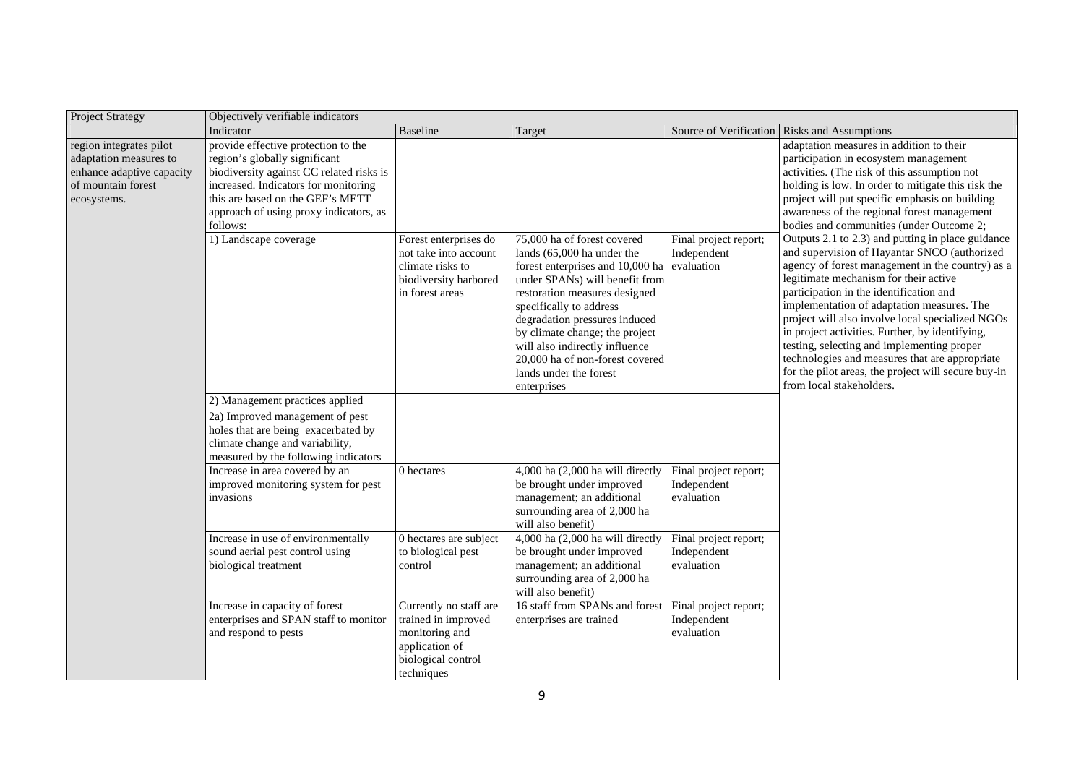| <b>Project Strategy</b>                                                                                             | Objectively verifiable indicators                                                                                                                                                                                                                  |                                                                                                                       |                                                                                                                                                                                                                                                                                                                                                                              |                                                    |                                                                                                                                                                                                                                                                                                                                                                                                                                                                                                                              |
|---------------------------------------------------------------------------------------------------------------------|----------------------------------------------------------------------------------------------------------------------------------------------------------------------------------------------------------------------------------------------------|-----------------------------------------------------------------------------------------------------------------------|------------------------------------------------------------------------------------------------------------------------------------------------------------------------------------------------------------------------------------------------------------------------------------------------------------------------------------------------------------------------------|----------------------------------------------------|------------------------------------------------------------------------------------------------------------------------------------------------------------------------------------------------------------------------------------------------------------------------------------------------------------------------------------------------------------------------------------------------------------------------------------------------------------------------------------------------------------------------------|
|                                                                                                                     | Indicator                                                                                                                                                                                                                                          | <b>Baseline</b>                                                                                                       | Target                                                                                                                                                                                                                                                                                                                                                                       | Source of Verification                             | <b>Risks and Assumptions</b>                                                                                                                                                                                                                                                                                                                                                                                                                                                                                                 |
| region integrates pilot<br>adaptation measures to<br>enhance adaptive capacity<br>of mountain forest<br>ecosystems. | provide effective protection to the<br>region's globally significant<br>biodiversity against CC related risks is<br>increased. Indicators for monitoring<br>this are based on the GEF's METT<br>approach of using proxy indicators, as<br>follows: |                                                                                                                       |                                                                                                                                                                                                                                                                                                                                                                              |                                                    | adaptation measures in addition to their<br>participation in ecosystem management<br>activities. (The risk of this assumption not<br>holding is low. In order to mitigate this risk the<br>project will put specific emphasis on building<br>awareness of the regional forest management<br>bodies and communities (under Outcome 2;<br>Outputs 2.1 to 2.3) and putting in place guidance                                                                                                                                    |
|                                                                                                                     | 1) Landscape coverage<br>2) Management practices applied                                                                                                                                                                                           | Forest enterprises do<br>not take into account<br>climate risks to<br>biodiversity harbored<br>in forest areas        | 75,000 ha of forest covered<br>lands (65,000 ha under the<br>forest enterprises and 10,000 ha<br>under SPANs) will benefit from<br>restoration measures designed<br>specifically to address<br>degradation pressures induced<br>by climate change; the project<br>will also indirectly influence<br>20,000 ha of non-forest covered<br>lands under the forest<br>enterprises | Final project report;<br>Independent<br>evaluation | and supervision of Hayantar SNCO (authorized<br>agency of forest management in the country) as a<br>legitimate mechanism for their active<br>participation in the identification and<br>implementation of adaptation measures. The<br>project will also involve local specialized NGOs<br>in project activities. Further, by identifying,<br>testing, selecting and implementing proper<br>technologies and measures that are appropriate<br>for the pilot areas, the project will secure buy-in<br>from local stakeholders. |
|                                                                                                                     | 2a) Improved management of pest<br>holes that are being exacerbated by<br>climate change and variability,<br>measured by the following indicators                                                                                                  |                                                                                                                       |                                                                                                                                                                                                                                                                                                                                                                              |                                                    |                                                                                                                                                                                                                                                                                                                                                                                                                                                                                                                              |
|                                                                                                                     | Increase in area covered by an<br>improved monitoring system for pest<br>invasions                                                                                                                                                                 | 0 hectares                                                                                                            | 4,000 ha (2,000 ha will directly<br>be brought under improved<br>management; an additional<br>surrounding area of 2,000 ha<br>will also benefit)                                                                                                                                                                                                                             | Final project report;<br>Independent<br>evaluation |                                                                                                                                                                                                                                                                                                                                                                                                                                                                                                                              |
|                                                                                                                     | Increase in use of environmentally<br>sound aerial pest control using<br>biological treatment                                                                                                                                                      | 0 hectares are subject<br>to biological pest<br>control                                                               | 4,000 ha (2,000 ha will directly<br>be brought under improved<br>management; an additional<br>surrounding area of 2,000 ha<br>will also benefit)                                                                                                                                                                                                                             | Final project report;<br>Independent<br>evaluation |                                                                                                                                                                                                                                                                                                                                                                                                                                                                                                                              |
|                                                                                                                     | Increase in capacity of forest<br>enterprises and SPAN staff to monitor<br>and respond to pests                                                                                                                                                    | Currently no staff are<br>trained in improved<br>monitoring and<br>application of<br>biological control<br>techniques | 16 staff from SPANs and forest<br>enterprises are trained                                                                                                                                                                                                                                                                                                                    | Final project report;<br>Independent<br>evaluation |                                                                                                                                                                                                                                                                                                                                                                                                                                                                                                                              |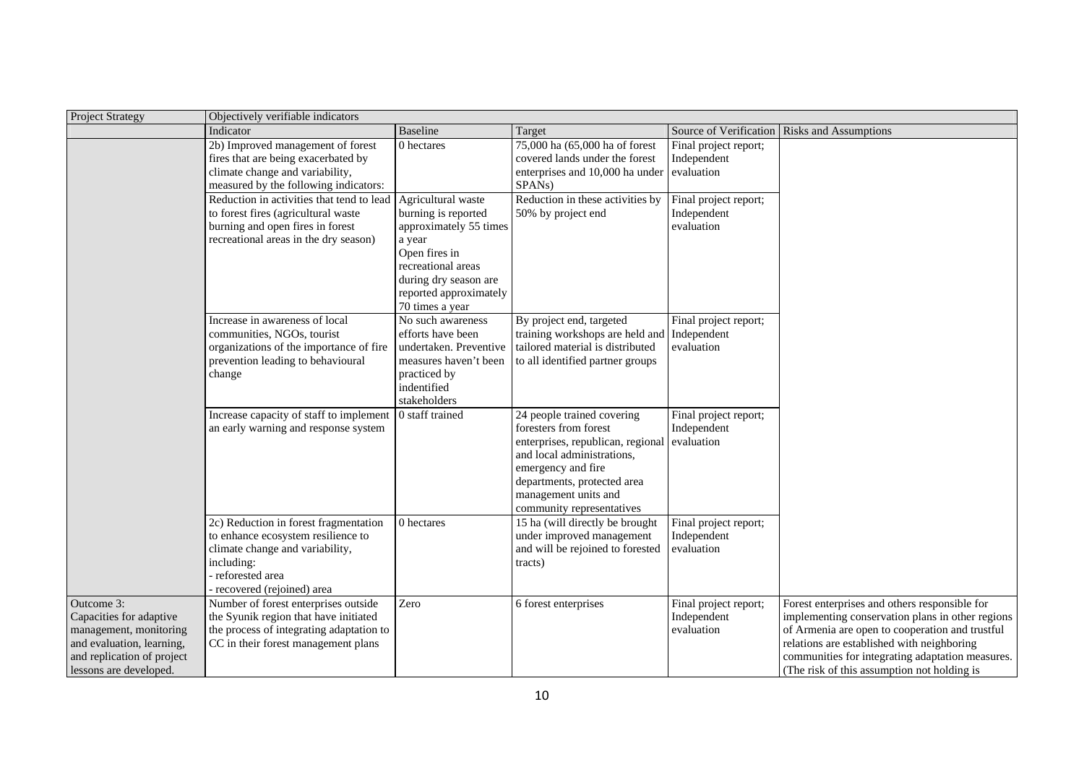| <b>Project Strategy</b>                                                                                                                              | Objectively verifiable indicators                                                                                                                                            |                                                                                                                                                                                            |                                                                                                                                                                                                                                  |                                                    |                                                                                                                                                                                                                                                                                                       |
|------------------------------------------------------------------------------------------------------------------------------------------------------|------------------------------------------------------------------------------------------------------------------------------------------------------------------------------|--------------------------------------------------------------------------------------------------------------------------------------------------------------------------------------------|----------------------------------------------------------------------------------------------------------------------------------------------------------------------------------------------------------------------------------|----------------------------------------------------|-------------------------------------------------------------------------------------------------------------------------------------------------------------------------------------------------------------------------------------------------------------------------------------------------------|
|                                                                                                                                                      | Indicator                                                                                                                                                                    | Baseline                                                                                                                                                                                   | Target                                                                                                                                                                                                                           |                                                    | Source of Verification Risks and Assumptions                                                                                                                                                                                                                                                          |
|                                                                                                                                                      | 2b) Improved management of forest<br>fires that are being exacerbated by<br>climate change and variability,<br>measured by the following indicators:                         | 0 hectares                                                                                                                                                                                 | 75,000 ha (65,000 ha of forest<br>covered lands under the forest<br>enterprises and 10,000 ha under<br>SPANs)                                                                                                                    | Final project report;<br>Independent<br>evaluation |                                                                                                                                                                                                                                                                                                       |
|                                                                                                                                                      | Reduction in activities that tend to lead<br>to forest fires (agricultural waste<br>burning and open fires in forest<br>recreational areas in the dry season)                | Agricultural waste<br>burning is reported<br>approximately 55 times<br>a year<br>Open fires in<br>recreational areas<br>during dry season are<br>reported approximately<br>70 times a year | Reduction in these activities by<br>50% by project end                                                                                                                                                                           | Final project report;<br>Independent<br>evaluation |                                                                                                                                                                                                                                                                                                       |
|                                                                                                                                                      | Increase in awareness of local<br>communities, NGOs, tourist<br>organizations of the importance of fire<br>prevention leading to behavioural<br>change                       | No such awareness<br>efforts have been<br>undertaken. Preventive<br>measures haven't been<br>practiced by<br>indentified<br>stakeholders                                                   | By project end, targeted<br>training workshops are held and<br>tailored material is distributed<br>to all identified partner groups                                                                                              | Final project report;<br>Independent<br>evaluation |                                                                                                                                                                                                                                                                                                       |
|                                                                                                                                                      | Increase capacity of staff to implement<br>an early warning and response system                                                                                              | 0 staff trained                                                                                                                                                                            | 24 people trained covering<br>foresters from forest<br>enterprises, republican, regional<br>and local administrations,<br>emergency and fire<br>departments, protected area<br>management units and<br>community representatives | Final project report;<br>Independent<br>evaluation |                                                                                                                                                                                                                                                                                                       |
|                                                                                                                                                      | 2c) Reduction in forest fragmentation<br>to enhance ecosystem resilience to<br>climate change and variability,<br>including:<br>reforested area<br>recovered (rejoined) area | 0 hectares                                                                                                                                                                                 | 15 ha (will directly be brought<br>under improved management<br>and will be rejoined to forested<br>tracts)                                                                                                                      | Final project report;<br>Independent<br>evaluation |                                                                                                                                                                                                                                                                                                       |
| Outcome 3:<br>Capacities for adaptive<br>management, monitoring<br>and evaluation, learning,<br>and replication of project<br>lessons are developed. | Number of forest enterprises outside<br>the Syunik region that have initiated<br>the process of integrating adaptation to<br>CC in their forest management plans             | Zero                                                                                                                                                                                       | 6 forest enterprises                                                                                                                                                                                                             | Final project report;<br>Independent<br>evaluation | Forest enterprises and others responsible for<br>implementing conservation plans in other regions<br>of Armenia are open to cooperation and trustful<br>relations are established with neighboring<br>communities for integrating adaptation measures.<br>(The risk of this assumption not holding is |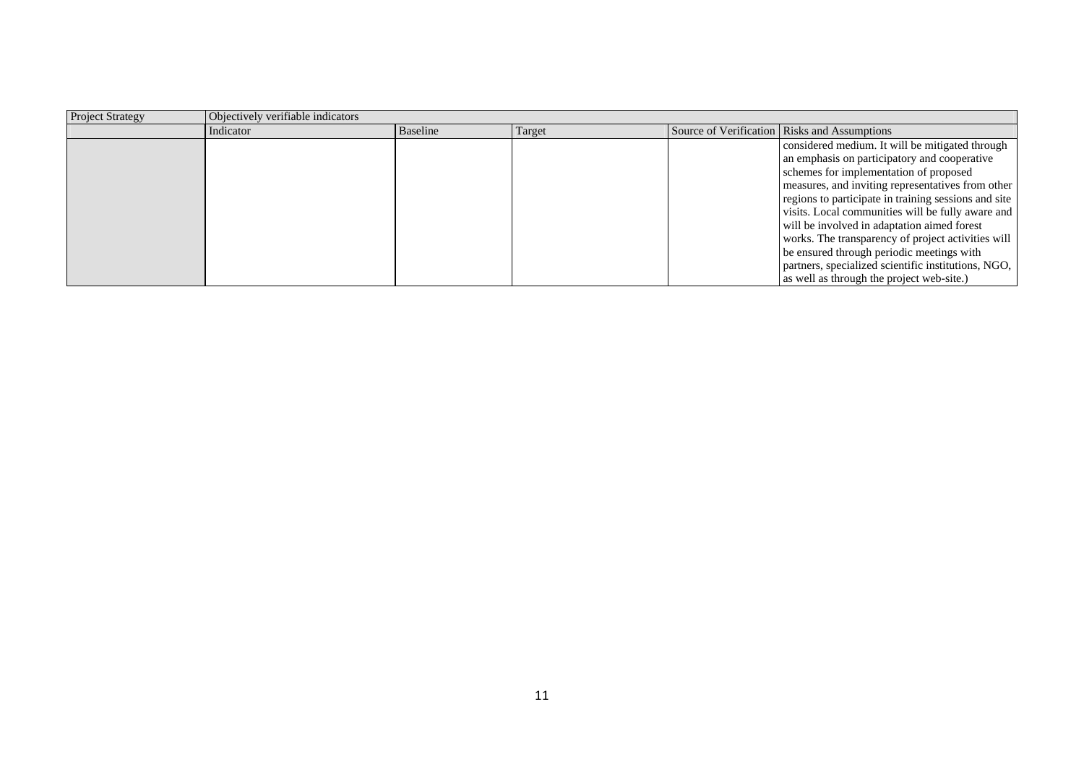| <b>Project Strategy</b> | Objectively verifiable indicators |          |        |                                                      |
|-------------------------|-----------------------------------|----------|--------|------------------------------------------------------|
|                         | Indicator                         | Baseline | Target | Source of Verification Risks and Assumptions         |
|                         |                                   |          |        | considered medium. It will be mitigated through      |
|                         |                                   |          |        | an emphasis on participatory and cooperative         |
|                         |                                   |          |        | schemes for implementation of proposed               |
|                         |                                   |          |        | measures, and inviting representatives from other    |
|                         |                                   |          |        | regions to participate in training sessions and site |
|                         |                                   |          |        | visits. Local communities will be fully aware and    |
|                         |                                   |          |        | will be involved in adaptation aimed forest          |
|                         |                                   |          |        | works. The transparency of project activities will   |
|                         |                                   |          |        | be ensured through periodic meetings with            |
|                         |                                   |          |        | partners, specialized scientific institutions, NGO,  |
|                         |                                   |          |        | as well as through the project web-site.)            |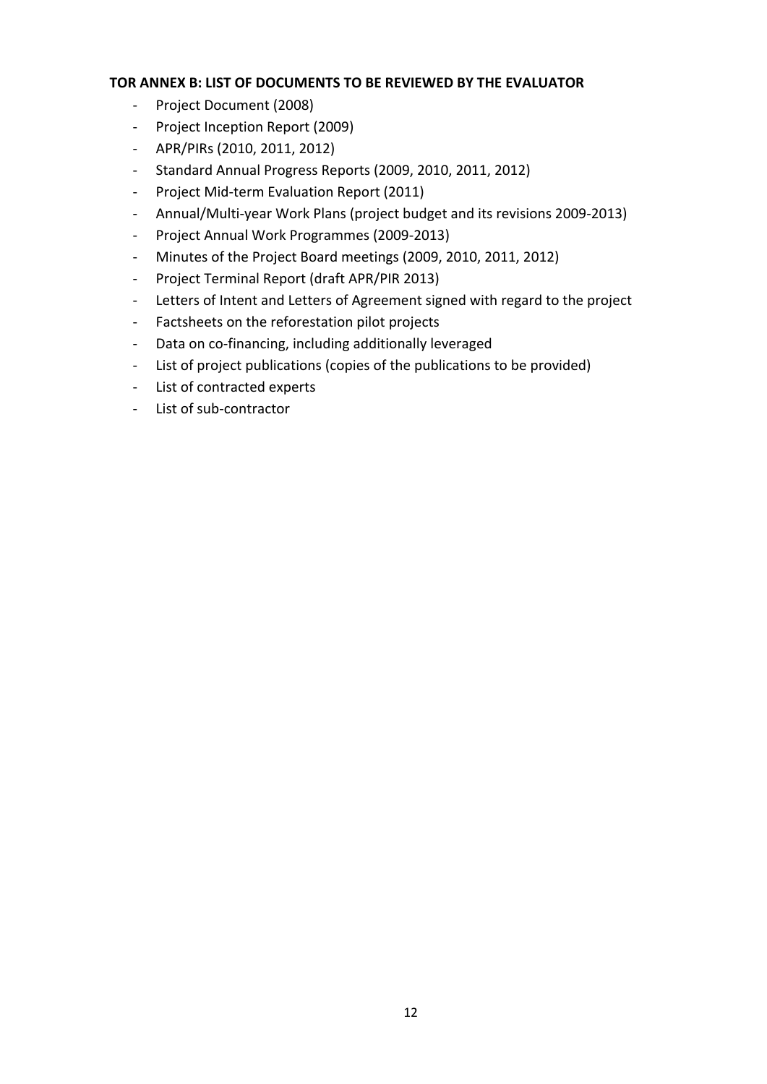#### **TOR ANNEX B: LIST OF DOCUMENTS TO BE REVIEWED BY THE EVALUATOR**

- ‐ Project Document (2008)
- ‐ Project Inception Report (2009)
- ‐ APR/PIRs (2010, 2011, 2012)
- ‐ Standard Annual Progress Reports (2009, 2010, 2011, 2012)
- ‐ Project Mid‐term Evaluation Report (2011)
- ‐ Annual/Multi‐year Work Plans (project budget and its revisions 2009‐2013)
- ‐ Project Annual Work Programmes (2009‐2013)
- ‐ Minutes of the Project Board meetings (2009, 2010, 2011, 2012)
- ‐ Project Terminal Report (draft APR/PIR 2013)
- ‐ Letters of Intent and Letters of Agreement signed with regard to the project
- ‐ Factsheets on the reforestation pilot projects
- ‐ Data on co‐financing, including additionally leveraged
- ‐ List of project publications (copies of the publications to be provided)
- ‐ List of contracted experts
- ‐ List of sub‐contractor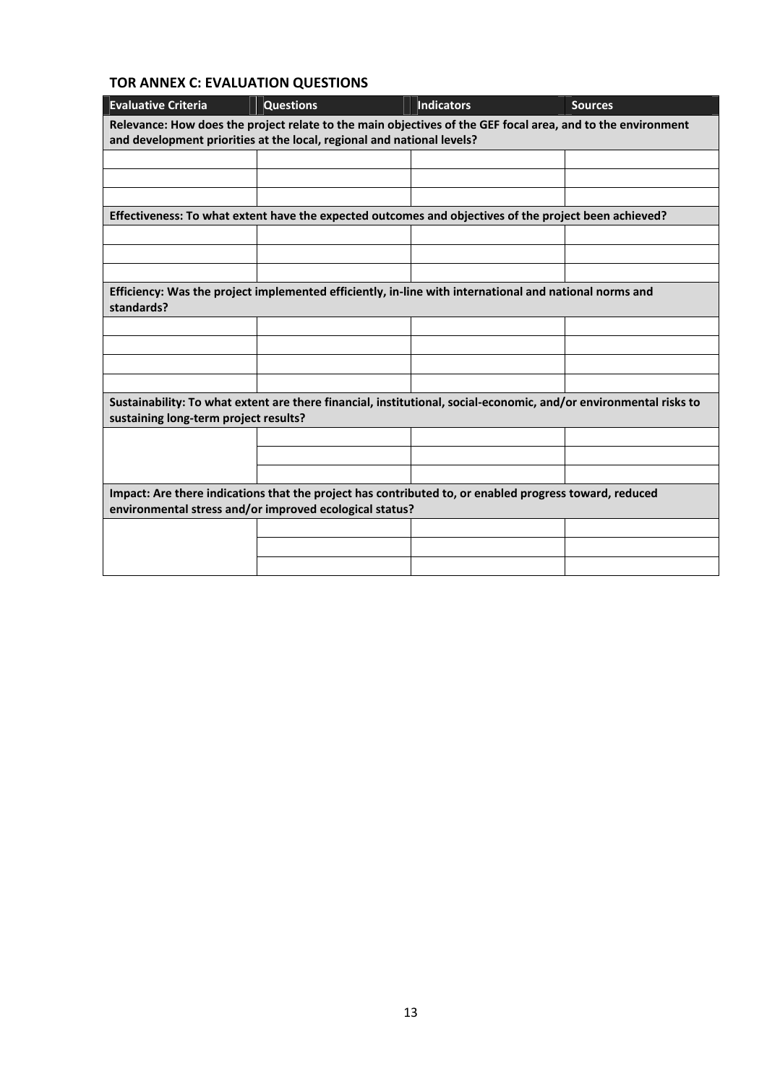## **TOR ANNEX C: EVALUATION QUESTIONS**

| <b>Evaluative Criteria</b>                                                                                                                                                            | <b>Questions</b>                                                                                      | <b>Indicators</b> | <b>Sources</b> |  |
|---------------------------------------------------------------------------------------------------------------------------------------------------------------------------------------|-------------------------------------------------------------------------------------------------------|-------------------|----------------|--|
| Relevance: How does the project relate to the main objectives of the GEF focal area, and to the environment<br>and development priorities at the local, regional and national levels? |                                                                                                       |                   |                |  |
|                                                                                                                                                                                       |                                                                                                       |                   |                |  |
|                                                                                                                                                                                       |                                                                                                       |                   |                |  |
|                                                                                                                                                                                       |                                                                                                       |                   |                |  |
|                                                                                                                                                                                       | Effectiveness: To what extent have the expected outcomes and objectives of the project been achieved? |                   |                |  |
|                                                                                                                                                                                       |                                                                                                       |                   |                |  |
|                                                                                                                                                                                       |                                                                                                       |                   |                |  |
|                                                                                                                                                                                       |                                                                                                       |                   |                |  |
| Efficiency: Was the project implemented efficiently, in-line with international and national norms and<br>standards?                                                                  |                                                                                                       |                   |                |  |
|                                                                                                                                                                                       |                                                                                                       |                   |                |  |
|                                                                                                                                                                                       |                                                                                                       |                   |                |  |
|                                                                                                                                                                                       |                                                                                                       |                   |                |  |
|                                                                                                                                                                                       |                                                                                                       |                   |                |  |
| Sustainability: To what extent are there financial, institutional, social-economic, and/or environmental risks to<br>sustaining long-term project results?                            |                                                                                                       |                   |                |  |
|                                                                                                                                                                                       |                                                                                                       |                   |                |  |
|                                                                                                                                                                                       |                                                                                                       |                   |                |  |
|                                                                                                                                                                                       |                                                                                                       |                   |                |  |
| Impact: Are there indications that the project has contributed to, or enabled progress toward, reduced<br>environmental stress and/or improved ecological status?                     |                                                                                                       |                   |                |  |
|                                                                                                                                                                                       |                                                                                                       |                   |                |  |
|                                                                                                                                                                                       |                                                                                                       |                   |                |  |
|                                                                                                                                                                                       |                                                                                                       |                   |                |  |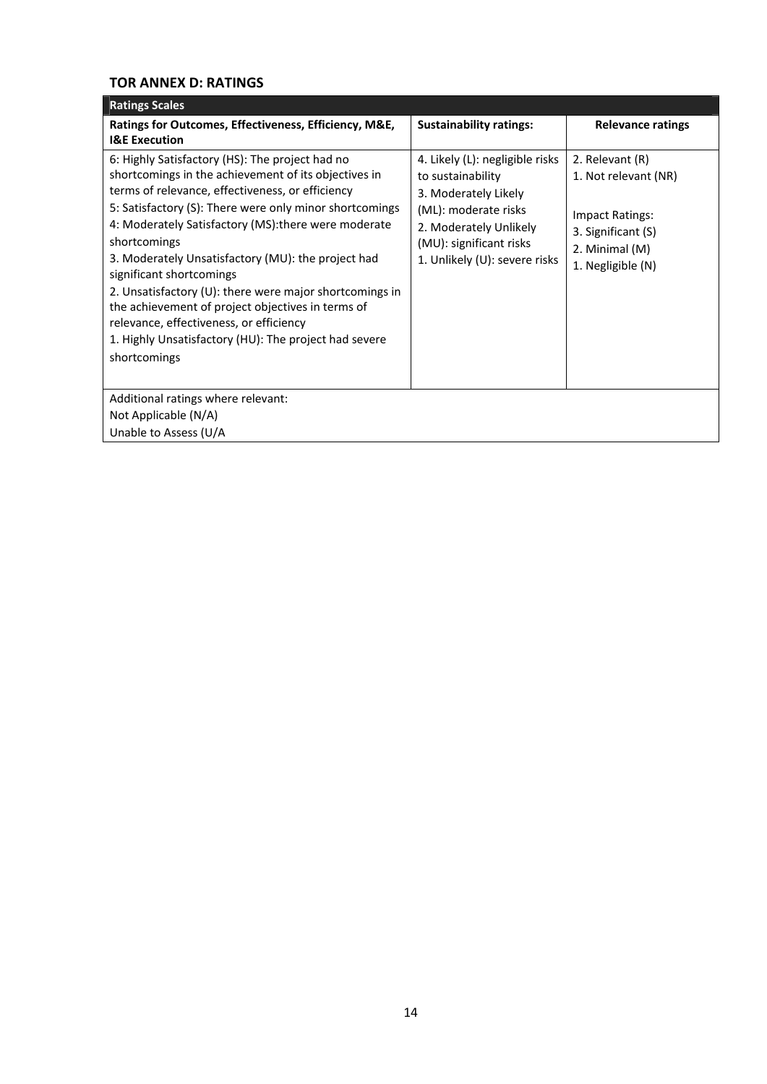### **TOR ANNEX D: RATINGS**

| <b>Ratings Scales</b>                                                                                                                                                                                                                                                                                                                                                                                                                                                                                                                                                                                                |                                                                                                                                                                                            |                                                                                                                                |
|----------------------------------------------------------------------------------------------------------------------------------------------------------------------------------------------------------------------------------------------------------------------------------------------------------------------------------------------------------------------------------------------------------------------------------------------------------------------------------------------------------------------------------------------------------------------------------------------------------------------|--------------------------------------------------------------------------------------------------------------------------------------------------------------------------------------------|--------------------------------------------------------------------------------------------------------------------------------|
| Ratings for Outcomes, Effectiveness, Efficiency, M&E,<br><b>I&amp;E Execution</b>                                                                                                                                                                                                                                                                                                                                                                                                                                                                                                                                    | <b>Sustainability ratings:</b>                                                                                                                                                             | <b>Relevance ratings</b>                                                                                                       |
| 6: Highly Satisfactory (HS): The project had no<br>shortcomings in the achievement of its objectives in<br>terms of relevance, effectiveness, or efficiency<br>5: Satisfactory (S): There were only minor shortcomings<br>4: Moderately Satisfactory (MS): there were moderate<br>shortcomings<br>3. Moderately Unsatisfactory (MU): the project had<br>significant shortcomings<br>2. Unsatisfactory (U): there were major shortcomings in<br>the achievement of project objectives in terms of<br>relevance, effectiveness, or efficiency<br>1. Highly Unsatisfactory (HU): The project had severe<br>shortcomings | 4. Likely (L): negligible risks<br>to sustainability<br>3. Moderately Likely<br>(ML): moderate risks<br>2. Moderately Unlikely<br>(MU): significant risks<br>1. Unlikely (U): severe risks | 2. Relevant (R)<br>1. Not relevant (NR)<br><b>Impact Ratings:</b><br>3. Significant (S)<br>2. Minimal (M)<br>1. Negligible (N) |
| Additional ratings where relevant:                                                                                                                                                                                                                                                                                                                                                                                                                                                                                                                                                                                   |                                                                                                                                                                                            |                                                                                                                                |
| Not Applicable (N/A)                                                                                                                                                                                                                                                                                                                                                                                                                                                                                                                                                                                                 |                                                                                                                                                                                            |                                                                                                                                |
| Unable to Assess (U/A                                                                                                                                                                                                                                                                                                                                                                                                                                                                                                                                                                                                |                                                                                                                                                                                            |                                                                                                                                |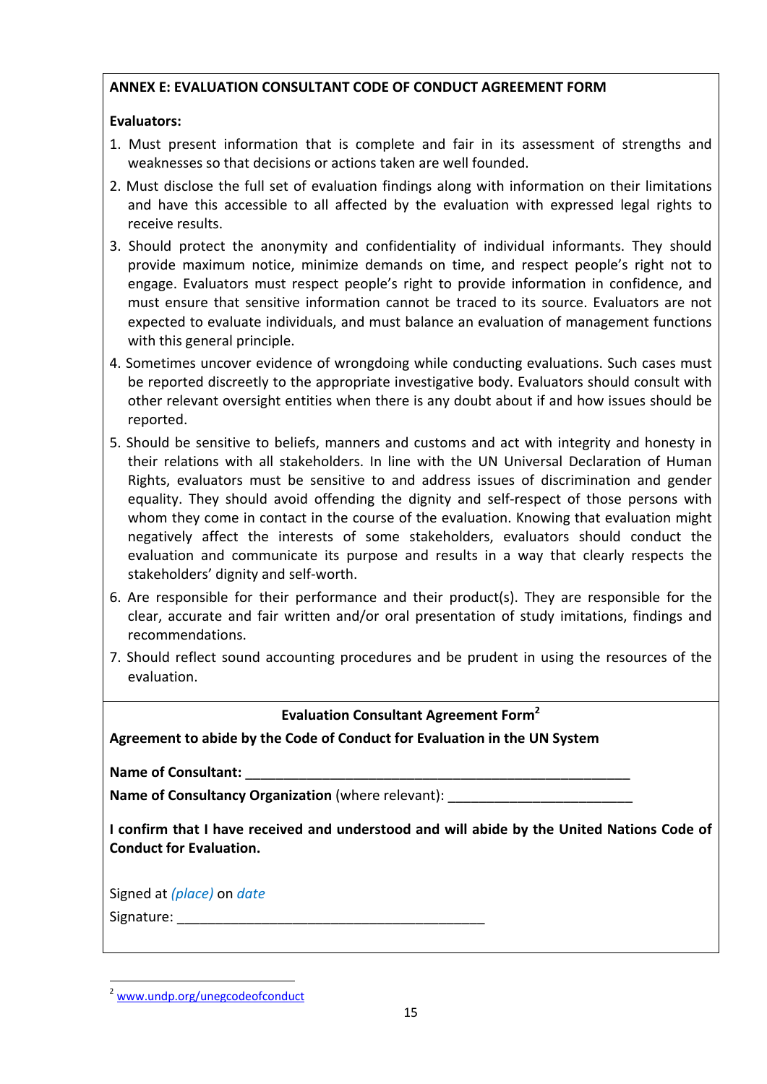## **ANNEX E: EVALUATION CONSULTANT CODE OF CONDUCT AGREEMENT FORM**

## **Evaluators:**

- 1. Must present information that is complete and fair in its assessment of strengths and weaknesses so that decisions or actions taken are well founded.
- 2. Must disclose the full set of evaluation findings along with information on their limitations and have this accessible to all affected by the evaluation with expressed legal rights to receive results.
- 3. Should protect the anonymity and confidentiality of individual informants. They should provide maximum notice, minimize demands on time, and respect people's right not to engage. Evaluators must respect people's right to provide information in confidence, and must ensure that sensitive information cannot be traced to its source. Evaluators are not expected to evaluate individuals, and must balance an evaluation of management functions with this general principle.
- 4. Sometimes uncover evidence of wrongdoing while conducting evaluations. Such cases must be reported discreetly to the appropriate investigative body. Evaluators should consult with other relevant oversight entities when there is any doubt about if and how issues should be reported.
- 5. Should be sensitive to beliefs, manners and customs and act with integrity and honesty in their relations with all stakeholders. In line with the UN Universal Declaration of Human Rights, evaluators must be sensitive to and address issues of discrimination and gender equality. They should avoid offending the dignity and self-respect of those persons with whom they come in contact in the course of the evaluation. Knowing that evaluation might negatively affect the interests of some stakeholders, evaluators should conduct the evaluation and communicate its purpose and results in a way that clearly respects the stakeholders' dignity and self‐worth.
- 6. Are responsible for their performance and their product(s). They are responsible for the clear, accurate and fair written and/or oral presentation of study imitations, findings and recommendations.
- 7. Should reflect sound accounting procedures and be prudent in using the resources of the evaluation.

## **Evaluation Consultant Agreement Form2**

**Agreement to abide by the Code of Conduct for Evaluation in the UN System**

**Name of Consultant:** \_\_\_\_\_\_\_\_\_\_\_\_\_\_\_\_\_\_\_\_\_\_\_\_\_\_\_\_\_\_\_\_\_\_\_\_\_\_\_\_\_\_\_\_\_\_\_\_\_\_

**Name of Consultancy Organization** (where relevant):

**I confirm that I have received and understood and will abide by the United Nations Code of Conduct for Evaluation.**

Signed at *(place)* on *date* Signature:

 <sup>2</sup> www.undp.org/unegcodeofconduct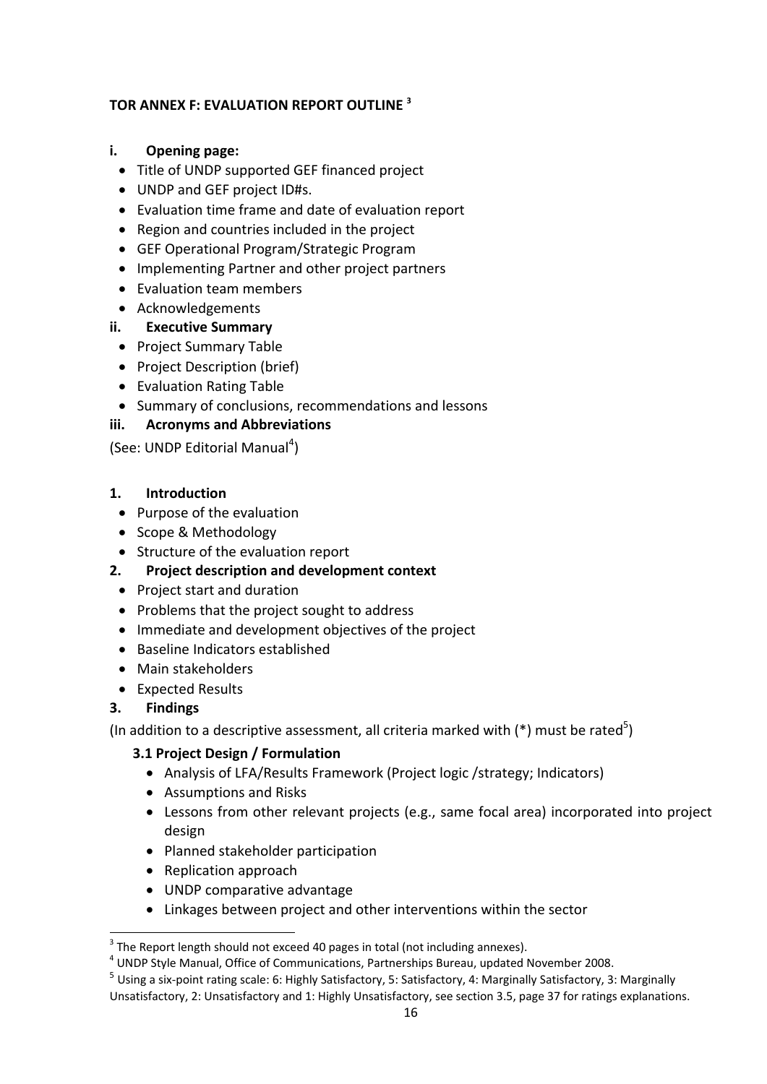#### **TOR ANNEX F: EVALUATION REPORT OUTLINE <sup>3</sup>**

#### **i. Opening page:**

- Title of UNDP supported GEF financed project
- UNDP and GEF project ID#s.
- Evaluation time frame and date of evaluation report
- Region and countries included in the project
- GEF Operational Program/Strategic Program
- Implementing Partner and other project partners
- Evaluation team members
- Acknowledgements

#### **ii. Executive Summary**

- Project Summary Table
- Project Description (brief)
- Evaluation Rating Table
- Summary of conclusions, recommendations and lessons

## **iii. Acronyms and Abbreviations**

(See: UNDP Editorial Manual<sup>4</sup>)

#### **1. Introduction**

- Purpose of the evaluation
- Scope & Methodology
- Structure of the evaluation report
- **2. Project description and development context**
- Project start and duration
- Problems that the project sought to address
- Immediate and development objectives of the project
- Baseline Indicators established
- Main stakeholders
- Expected Results

#### **3. Findings**

(In addition to a descriptive assessment, all criteria marked with  $(*)$  must be rated<sup>5</sup>)

#### **3.1 Project Design / Formulation**

- Analysis of LFA/Results Framework (Project logic /strategy; Indicators)
- Assumptions and Risks
- Lessons from other relevant projects (e.g., same focal area) incorporated into project design
- Planned stakeholder participation
- Replication approach

- UNDP comparative advantage
- Linkages between project and other interventions within the sector

 $3$  The Report length should not exceed 40 pages in total (not including annexes).<br> $4$  UNDP Style Manual, Office of Communications, Partnerships Bureau, updated November 2008.

 $^5$  Using a six-point rating scale: 6: Highly Satisfactory, 5: Satisfactory, 4: Marginally Satisfactory, 3: Marginally Unsatisfactory, 2: Unsatisfactory and 1: Highly Unsatisfactory, see section 3.5, page 37 for ratings explanations.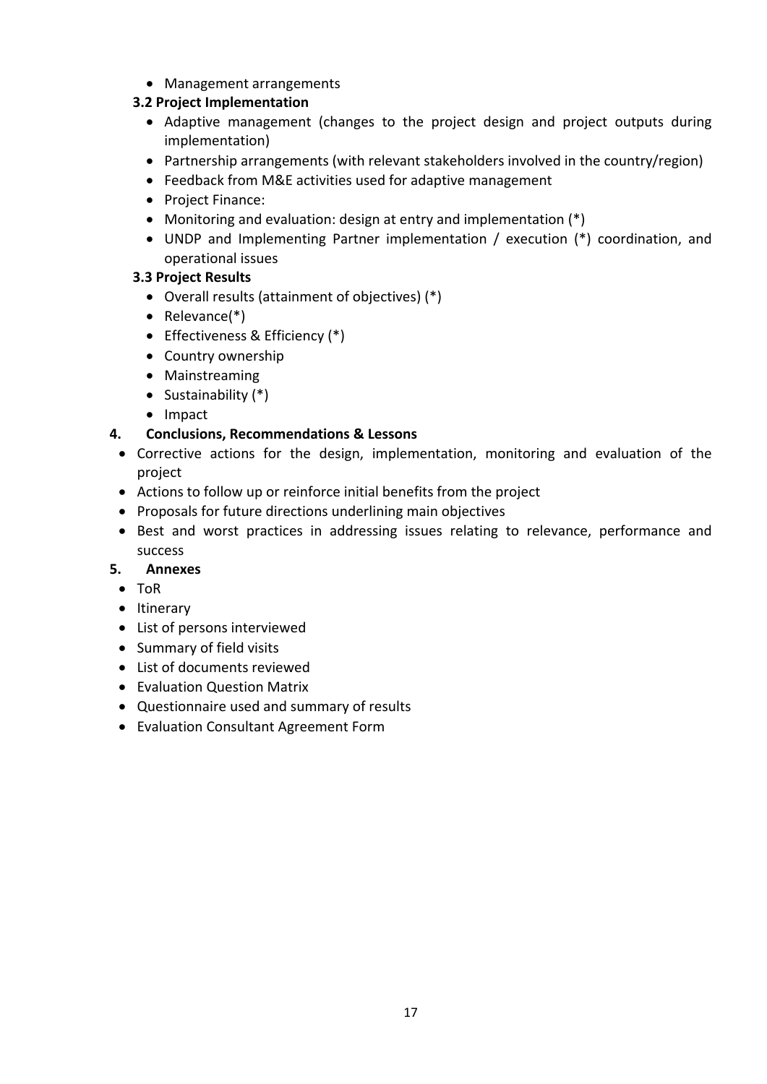• Management arrangements

## **3.2 Project Implementation**

- Adaptive management (changes to the project design and project outputs during implementation)
- Partnership arrangements (with relevant stakeholders involved in the country/region)
- Feedback from M&E activities used for adaptive management
- Project Finance:
- Monitoring and evaluation: design at entry and implementation (\*)
- UNDP and Implementing Partner implementation / execution (\*) coordination, and operational issues

## **3.3 Project Results**

- Overall results (attainment of objectives) (\*)
- Relevance(\*)
- Effectiveness & Efficiency (\*)
- Country ownership
- Mainstreaming
- Sustainability (\*)
- Impact

## **4. Conclusions, Recommendations & Lessons**

- Corrective actions for the design, implementation, monitoring and evaluation of the project
- Actions to follow up or reinforce initial benefits from the project
- Proposals for future directions underlining main objectives
- Best and worst practices in addressing issues relating to relevance, performance and success

#### **5. Annexes**

- ToR
- Itinerary
- List of persons interviewed
- Summary of field visits
- List of documents reviewed
- Evaluation Question Matrix
- Questionnaire used and summary of results
- Evaluation Consultant Agreement Form